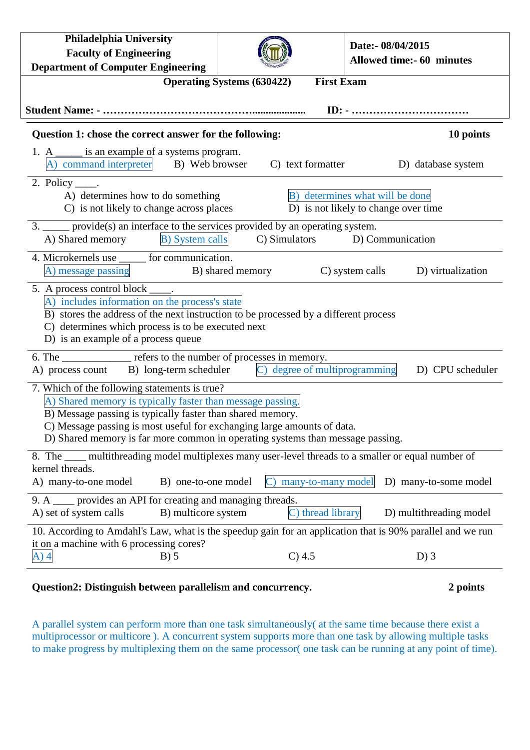| <b>Philadelphia University</b><br><b>Faculty of Engineering</b><br><b>Department of Computer Engineering</b>                                                                                                                                                                                                                           |                               | Date:- 08/04/2015<br><b>Allowed time:- 60 minutes</b> |  |
|----------------------------------------------------------------------------------------------------------------------------------------------------------------------------------------------------------------------------------------------------------------------------------------------------------------------------------------|-------------------------------|-------------------------------------------------------|--|
| <b>First Exam</b><br><b>Operating Systems (630422)</b>                                                                                                                                                                                                                                                                                 |                               |                                                       |  |
| Question 1: chose the correct answer for the following:<br>10 points                                                                                                                                                                                                                                                                   |                               |                                                       |  |
| 1. A ______ is an example of a systems program.<br>A) command interpreter B) Web browser                                                                                                                                                                                                                                               | C) text formatter             | D) database system                                    |  |
| 2. Policy $\_\_\_\$ .<br>B) determines what will be done<br>A) determines how to do something<br>D) is not likely to change over time<br>C) is not likely to change across places                                                                                                                                                      |                               |                                                       |  |
| 3. <u>provide</u> (s) an interface to the services provided by an operating system.<br><b>B)</b> System calls<br>A) Shared memory<br>C) Simulators D) Communication                                                                                                                                                                    |                               |                                                       |  |
| 4. Microkernels use ______ for communication.<br>A) message passing B) shared memory                                                                                                                                                                                                                                                   |                               | C) system calls<br>D) virtualization                  |  |
| 5. A process control block _____.<br>A) includes information on the process's state<br>B) stores the address of the next instruction to be processed by a different process<br>C) determines which process is to be executed next<br>D) is an example of a process queue                                                               |                               |                                                       |  |
| 6. The ______________ refers to the number of processes in memory.<br>C) degree of multiprogramming<br>A) process count B) long-term scheduler<br>D) CPU scheduler                                                                                                                                                                     |                               |                                                       |  |
| 7. Which of the following statements is true?<br>A) Shared memory is typically faster than message passing.<br>B) Message passing is typically faster than shared memory.<br>C) Message passing is most useful for exchanging large amounts of data.<br>D) Shared memory is far more common in operating systems than message passing. |                               |                                                       |  |
| 8. The ____ multithreading model multiplexes many user-level threads to a smaller or equal number of<br>kernel threads.<br>A) many-to-one model<br>B) one-to-one model                                                                                                                                                                 | many-to-many model            | D) many-to-some model                                 |  |
| 9. A <u>second</u> provides an API for creating and managing threads.<br>A) set of system calls<br>B) multicore system                                                                                                                                                                                                                 | thread library<br>$\mathbf C$ | D) multithreading model                               |  |
| 10. According to Amdahl's Law, what is the speedup gain for an application that is 90% parallel and we run<br>it on a machine with 6 processing cores?<br>$B)$ 5<br>A) 4                                                                                                                                                               | C) 4.5                        | $D$ ) 3                                               |  |

## **Question2: Distinguish between parallelism and concurrency. 2 points**

A parallel system can perform more than one task simultaneously( at the same time because there exist a multiprocessor or multicore ). A concurrent system supports more than one task by allowing multiple tasks to make progress by multiplexing them on the same processor( one task can be running at any point of time).